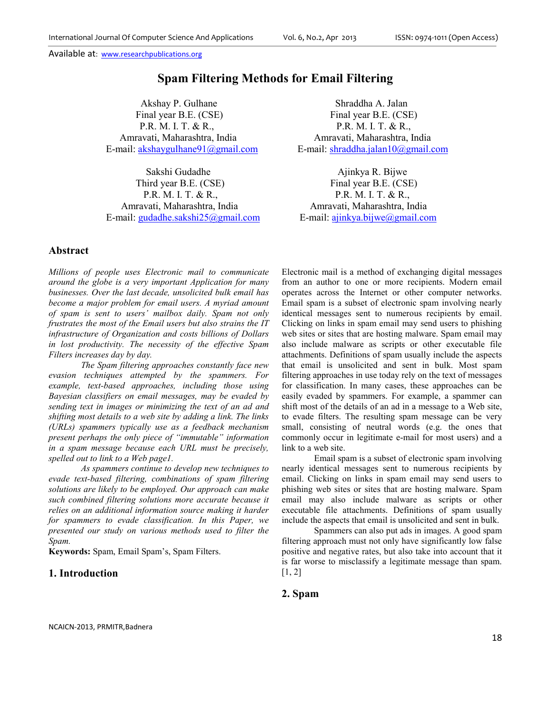# **Spam Filtering Methods for Email Filtering**

Akshay P. Gulhane Shraddha A. Jalan Final year B.E. (CSE) Final year B.E. (CSE) P.R. M. I. T. & R., P.R. M. I. T. & R., Amravati, Maharashtra, India Amravati, Maharashtra, India E-mail: akshaygulhane91@gmail.com E-mail: shraddha.jalan10@gmail.com

Sakshi Gudadhe Ajinkya R. Bijwe Third year B.E. (CSE) Final year B.E. (CSE) P.R. M. I. T. & R., P.R. M. I. T. & R., Amravati, Maharashtra, India Amravati, Maharashtra, India E-mail: gudadhe.sakshi25@gmail.com E-mail: ajinkya.bijwe@gmail.com

## **Abstract**

*Millions of people uses Electronic mail to communicate around the globe is a very important Application for many businesses. Over the last decade, unsolicited bulk email has become a major problem for email users. A myriad amount of spam is sent to users' mailbox daily. Spam not only frustrates the most of the Email users but also strains the IT infrastructure of Organization and costs billions of Dollars in lost productivity. The necessity of the effective Spam Filters increases day by day.* 

*The Spam filtering approaches constantly face new evasion techniques attempted by the spammers. For example, text-based approaches, including those using Bayesian classifiers on email messages, may be evaded by sending text in images or minimizing the text of an ad and shifting most details to a web site by adding a link. The links (URLs) spammers typically use as a feedback mechanism present perhaps the only piece of "immutable" information in a spam message because each URL must be precisely, spelled out to link to a Web page1.* 

 *As spammers continue to develop new techniques to evade text-based filtering, combinations of spam filtering solutions are likely to be employed. Our approach can make such combined filtering solutions more accurate because it relies on an additional information source making it harder for spammers to evade classification. In this Paper, we presented our study on various methods used to filter the Spam.* 

**Keywords:** Spam, Email Spam's, Spam Filters.

#### **1. Introduction**

Electronic mail is a method of exchanging digital messages from an author to one or more recipients. Modern email operates across the Internet or other computer networks. Email spam is a subset of electronic spam involving nearly identical messages sent to numerous recipients by email. Clicking on links in spam email may send users to phishing web sites or sites that are hosting malware. Spam email may also include malware as scripts or other executable file attachments. Definitions of spam usually include the aspects that email is unsolicited and sent in bulk. Most spam filtering approaches in use today rely on the text of messages for classification. In many cases, these approaches can be easily evaded by spammers. For example, a spammer can shift most of the details of an ad in a message to a Web site, to evade filters. The resulting spam message can be very small, consisting of neutral words (e.g. the ones that commonly occur in legitimate e-mail for most users) and a link to a web site.

 Email spam is a subset of electronic spam involving nearly identical messages sent to numerous recipients by email. Clicking on links in spam email may send users to phishing web sites or sites that are hosting malware. Spam email may also include malware as scripts or other executable file attachments. Definitions of spam usually include the aspects that email is unsolicited and sent in bulk.

Spammers can also put ads in images. A good spam filtering approach must not only have significantly low false positive and negative rates, but also take into account that it is far worse to misclassify a legitimate message than spam.  $[1, 2]$ 

#### **2. Spam**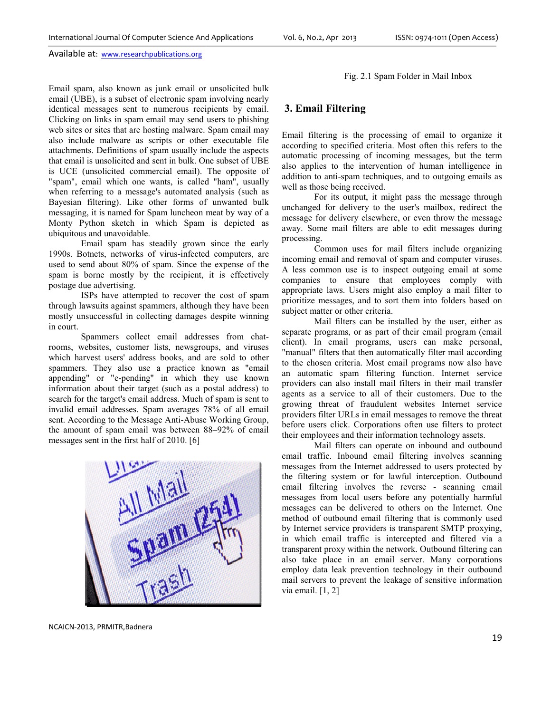Email spam, also known as junk email or unsolicited bulk email (UBE), is a subset of electronic spam involving nearly identical messages sent to numerous recipients by email. Clicking on links in spam email may send users to phishing web sites or sites that are hosting malware. Spam email may also include malware as scripts or other executable file attachments. Definitions of spam usually include the aspects that email is unsolicited and sent in bulk. One subset of UBE is UCE (unsolicited commercial email). The opposite of "spam", email which one wants, is called "ham", usually when referring to a message's automated analysis (such as Bayesian filtering). Like other forms of unwanted bulk messaging, it is named for Spam luncheon meat by way of a Monty Python sketch in which Spam is depicted as ubiquitous and unavoidable. l (UBE), is a subset of electronic spam involving nearly ical messages sent to numerous recipients by email.<br>
sites on links in spam email may send users to phishing<br>
sites or sites that are hosting malware. Spam email may attachments. Definitions of spam usually include the aspects<br>that email is unsolicited and sent in bulk. One subset of UBE<br>is UCE (unsolicited commercial email). The opposite of<br>"spam", email which one wants, is called "ha

Email spam has steadily grown since the early 1990s. Botnets, networks of virus-infected computers, are used to send about 80% of spam. Since the expense of the spam is borne mostly by the recipient, it is effectively postage due advertising.

ISPs have attempted to recover th through lawsuits against spammers, although they have been mostly unsuccessful in collecting damages despite winning in court. awsuits against spammers, although they have been<br>nsuccessful in collecting damages despite winning<br>Spammers collect email addresses from chat-

rooms, websites, customer lists, newsgroups, and viruses which harvest users' address books, and are sold to other spammers. They also use a practice known as "email appending" or "e-pending" in which they use known information about their target (such as a postal address) to search for the target's email address. Much of spam is sent to invalid email addresses. Spam averages 78% of all email sent. According to the Message Anti-Abuse Working Group, the amount of spam email was between 88–92% of email messages sent in the first half of 2010. [6] which harvest users' address books, and are sold to other spammers. They also use a practice known as "email appending" or "e-pending" in which they use known information about their target (such as a postal address) to se email addresses. Spam averages 78% of all email<br>cording to the Message Anti-Abuse Working Group,<br>unt of spam email was between 88–92% of email



Fig. 2.1 Spam Folder in Mail Inbox

## **3. Email Filtering**

Email filtering is the processing of email to organize it according to specified criteria. Most often this refers to the automatic processing of incoming messages, but the term also applies to the intervention of human intelligence in addition to anti-spam techniques, and to outgoing emails as well as those being received.

For its output, it might pass the message through unchanged for delivery to the user's mailbox, redirect the addition to anti-spam techniques, and to outgoing emails as<br>well as those being received.<br>For its output, it might pass the message through<br>unchanged for delivery to the user's mailbox, redirect the<br>message for delivery el away. Some mail filters are able to edit messages during processing.

Common uses for mail filters include organizing incoming email and removal of spam and computer viruses. A less common use is to inspect outgoing email at some companies to ensure that employees comply with appropriate laws. Users might also employ a mail filter to prioritize messages, and to sort them into folders based on subject matter or other criteria.

Mail filters can be installed by the user, either as separate programs, or as part of their email program (email client). In email programs, users can make personal, "manual" filters that then automatically filter mail according to the chosen criteria. Most email programs now also have an automatic spam filtering function. Internet service providers can also install mail filters in their mail transfer agents as a service to all of their customers. Due to the growing threat of fraudulent websites Internet service providers filter URLs in email messages to remove the threat before users click. Corporations often use filters to protect their employees and their information technology assets. rams, or as part of their email program (email<br>email programs, users can make personal,<br>ers that then automatically filter mail according<br>criteria. Most email programs now also have<br>expandificantly function. Internet servi

Mail filters can operate on inbound and outbound email traffic. Inbound email filtering involves scanning messages from the Internet addressed to users protected by the filtering system or for lawful interception. Outbound email filtering involves the reverse - scanning email messages from local users before any potentially harmful messages can be delivered to others on the Internet. One method of outbound email filtering that is commonly used by Internet service providers is transparent SMTP proxying, in which email traffic is intercepted and filtered via a transparent proxy within the network. Outbound filtering can also take place in an email server. Many corporations employ data leak prevention technology in their outbound mail servers to prevent the leakage of sensitive information via email. [1, 2] ressed to users protected by<br>wful interception. Outbound<br>reverse - scanning email

NCAICN-2013, PRMITR,Badnera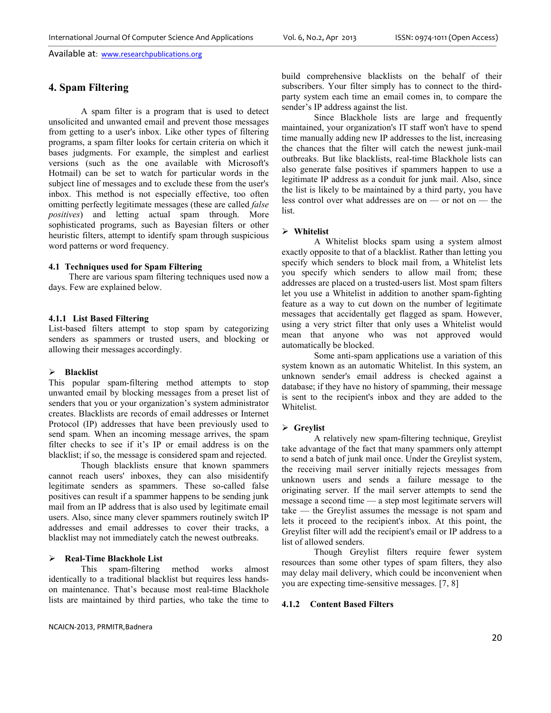## **4. Spam Filtering**

A spam filter is a program that is used to detect unsolicited and unwanted email and prevent those messages from getting to a user's inbox. Like other types of filtering programs, a spam filter looks for certain criteria on which it bases judgments. For example, the simplest and earliest versions (such as the one available with Microsoft's Hotmail) can be set to watch for particular words in the subject line of messages and to exclude these from the user's inbox. This method is not especially effective, too often omitting perfectly legitimate messages (these are called *false positives*) and letting actual spam through. More sophisticated programs, such as Bayesian filters or other heuristic filters, attempt to identify spam through suspicious word patterns or word frequency.

#### **4.1 Techniques used for Spam Filtering**

 There are various spam filtering techniques used now a days. Few are explained below.

#### **4.1.1 List Based Filtering**

List-based filters attempt to stop spam by categorizing senders as spammers or trusted users, and blocking or allowing their messages accordingly.

#### **Blacklist**

This popular spam-filtering method attempts to stop unwanted email by blocking messages from a preset list of senders that you or your organization's system administrator creates. Blacklists are records of email addresses or Internet Protocol (IP) addresses that have been previously used to send spam. When an incoming message arrives, the spam filter checks to see if it's IP or email address is on the blacklist; if so, the message is considered spam and rejected.

 Though blacklists ensure that known spammers cannot reach users' inboxes, they can also misidentify legitimate senders as spammers. These so-called false positives can result if a spammer happens to be sending junk mail from an IP address that is also used by legitimate email users. Also, since many clever spammers routinely switch IP addresses and email addresses to cover their tracks, a blacklist may not immediately catch the newest outbreaks.

# **Real-Time Blackhole List**

spam-filtering method works almost identically to a traditional blacklist but requires less handson maintenance. That's because most real-time Blackhole lists are maintained by third parties, who take the time to build comprehensive blacklists on the behalf of their subscribers. Your filter simply has to connect to the thirdparty system each time an email comes in, to compare the sender's IP address against the list.

Since Blackhole lists are large and frequently maintained, your organization's IT staff won't have to spend time manually adding new IP addresses to the list, increasing the chances that the filter will catch the newest junk-mail outbreaks. But like blacklists, real-time Blackhole lists can also generate false positives if spammers happen to use a legitimate IP address as a conduit for junk mail. Also, since the list is likely to be maintained by a third party, you have less control over what addresses are on — or not on — the list.

#### **Whitelist**

A Whitelist blocks spam using a system almost exactly opposite to that of a blacklist. Rather than letting you specify which senders to block mail from, a Whitelist lets you specify which senders to allow mail from; these addresses are placed on a trusted-users list. Most spam filters let you use a Whitelist in addition to another spam-fighting feature as a way to cut down on the number of legitimate messages that accidentally get flagged as spam. However, using a very strict filter that only uses a Whitelist would mean that anyone who was not approved would automatically be blocked.

Some anti-spam applications use a variation of this system known as an automatic Whitelist. In this system, an unknown sender's email address is checked against a database; if they have no history of spamming, their message is sent to the recipient's inbox and they are added to the Whitelist.

#### **Greylist**

A relatively new spam-filtering technique, Greylist take advantage of the fact that many spammers only attempt to send a batch of junk mail once. Under the Greylist system, the receiving mail server initially rejects messages from unknown users and sends a failure message to the originating server. If the mail server attempts to send the message a second time — a step most legitimate servers will take — the Greylist assumes the message is not spam and lets it proceed to the recipient's inbox. At this point, the Greylist filter will add the recipient's email or IP address to a list of allowed senders.

Though Greylist filters require fewer system resources than some other types of spam filters, they also may delay mail delivery, which could be inconvenient when you are expecting time-sensitive messages. [7, 8]

### **4.1.2 Content Based Filters**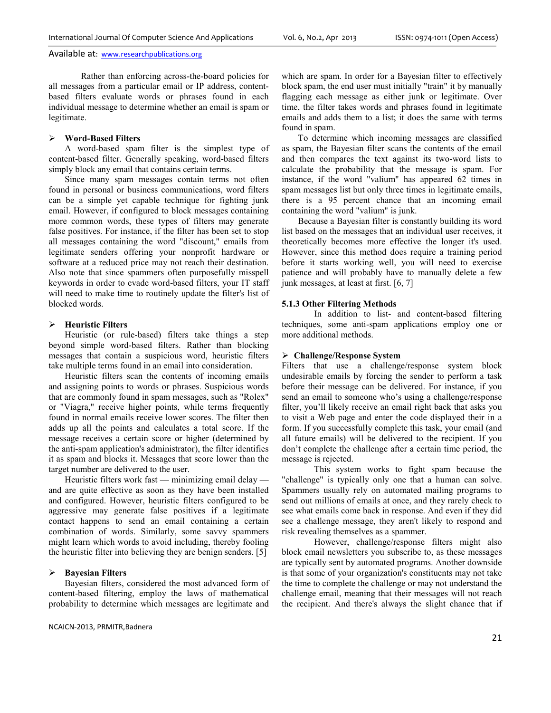Rather than enforcing across-the-board policies for all messages from a particular email or IP address, contentbased filters evaluate words or phrases found in each individual message to determine whether an email is spam or legitimate.

#### **Word-Based Filters**

A word-based spam filter is the simplest type of content-based filter. Generally speaking, word-based filters simply block any email that contains certain terms.

Since many spam messages contain terms not often found in personal or business communications, word filters can be a simple yet capable technique for fighting junk email. However, if configured to block messages containing more common words, these types of filters may generate false positives. For instance, if the filter has been set to stop all messages containing the word "discount," emails from legitimate senders offering your nonprofit hardware or software at a reduced price may not reach their destination. Also note that since spammers often purposefully misspell keywords in order to evade word-based filters, your IT staff will need to make time to routinely update the filter's list of blocked words.

#### **Heuristic Filters**

Heuristic (or rule-based) filters take things a step beyond simple word-based filters. Rather than blocking messages that contain a suspicious word, heuristic filters take multiple terms found in an email into consideration.

Heuristic filters scan the contents of incoming emails and assigning points to words or phrases. Suspicious words that are commonly found in spam messages, such as "Rolex" or "Viagra," receive higher points, while terms frequently found in normal emails receive lower scores. The filter then adds up all the points and calculates a total score. If the message receives a certain score or higher (determined by the anti-spam application's administrator), the filter identifies it as spam and blocks it. Messages that score lower than the target number are delivered to the user.

Heuristic filters work fast — minimizing email delay and are quite effective as soon as they have been installed and configured. However, heuristic filters configured to be aggressive may generate false positives if a legitimate contact happens to send an email containing a certain combination of words. Similarly, some savvy spammers might learn which words to avoid including, thereby fooling the heuristic filter into believing they are benign senders. [5]

#### **Bayesian Filters**

Bayesian filters, considered the most advanced form of content-based filtering, employ the laws of mathematical probability to determine which messages are legitimate and which are spam. In order for a Bayesian filter to effectively block spam, the end user must initially "train" it by manually flagging each message as either junk or legitimate. Over time, the filter takes words and phrases found in legitimate emails and adds them to a list; it does the same with terms found in spam.

To determine which incoming messages are classified as spam, the Bayesian filter scans the contents of the email and then compares the text against its two-word lists to calculate the probability that the message is spam. For instance, if the word "valium" has appeared 62 times in spam messages list but only three times in legitimate emails, there is a 95 percent chance that an incoming email containing the word "valium" is junk.

Because a Bayesian filter is constantly building its word list based on the messages that an individual user receives, it theoretically becomes more effective the longer it's used. However, since this method does require a training period before it starts working well, you will need to exercise patience and will probably have to manually delete a few junk messages, at least at first. [6, 7]

#### **5.1.3 Other Filtering Methods**

In addition to list- and content-based filtering techniques, some anti-spam applications employ one or more additional methods.

#### **Challenge/Response System**

Filters that use a challenge/response system block undesirable emails by forcing the sender to perform a task before their message can be delivered. For instance, if you send an email to someone who's using a challenge/response filter, you'll likely receive an email right back that asks you to visit a Web page and enter the code displayed their in a form. If you successfully complete this task, your email (and all future emails) will be delivered to the recipient. If you don't complete the challenge after a certain time period, the message is rejected.

This system works to fight spam because the "challenge" is typically only one that a human can solve. Spammers usually rely on automated mailing programs to send out millions of emails at once, and they rarely check to see what emails come back in response. And even if they did see a challenge message, they aren't likely to respond and risk revealing themselves as a spammer.

However, challenge/response filters might also block email newsletters you subscribe to, as these messages are typically sent by automated programs. Another downside is that some of your organization's constituents may not take the time to complete the challenge or may not understand the challenge email, meaning that their messages will not reach the recipient. And there's always the slight chance that if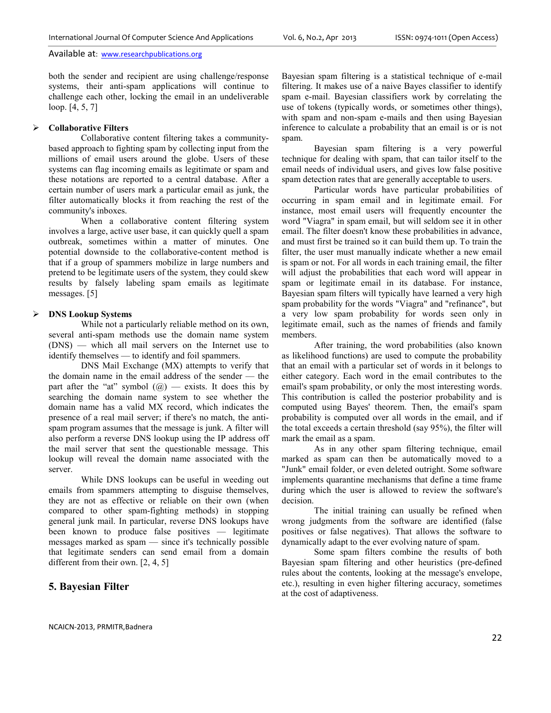both the sender and recipient are using challenge/response systems, their anti-spam applications will continue to challenge each other, locking the email in an undeliverable loop. [4, 5, 7]

#### **Collaborative Filters**

Collaborative content filtering takes a communitybased approach to fighting spam by collecting input from the millions of email users around the globe. Users of these systems can flag incoming emails as legitimate or spam and these notations are reported to a central database. After a certain number of users mark a particular email as junk, the filter automatically blocks it from reaching the rest of the community's inboxes.

When a collaborative content filtering system involves a large, active user base, it can quickly quell a spam outbreak, sometimes within a matter of minutes. One potential downside to the collaborative-content method is that if a group of spammers mobilize in large numbers and pretend to be legitimate users of the system, they could skew results by falsely labeling spam emails as legitimate messages. [5]

#### **DNS Lookup Systems**

While not a particularly reliable method on its own, several anti-spam methods use the domain name system (DNS) — which all mail servers on the Internet use to identify themselves — to identify and foil spammers.

DNS Mail Exchange (MX) attempts to verify that the domain name in the email address of the sender — the part after the "at" symbol  $(Q)$  — exists. It does this by searching the domain name system to see whether the domain name has a valid MX record, which indicates the presence of a real mail server; if there's no match, the antispam program assumes that the message is junk. A filter will also perform a reverse DNS lookup using the IP address off the mail server that sent the questionable message. This lookup will reveal the domain name associated with the server.

While DNS lookups can be useful in weeding out emails from spammers attempting to disguise themselves, they are not as effective or reliable on their own (when compared to other spam-fighting methods) in stopping general junk mail. In particular, reverse DNS lookups have been known to produce false positives — legitimate messages marked as spam — since it's technically possible that legitimate senders can send email from a domain different from their own. [2, 4, 5]

## **5. Bayesian Filter**

Bayesian spam filtering is a statistical technique of e-mail filtering. It makes use of a naive Bayes classifier to identify spam e-mail. Bayesian classifiers work by correlating the use of tokens (typically words, or sometimes other things), with spam and non-spam e-mails and then using Bayesian inference to calculate a probability that an email is or is not spam.

Bayesian spam filtering is a very powerful technique for dealing with spam, that can tailor itself to the email needs of individual users, and gives low false positive spam detection rates that are generally acceptable to users.

Particular words have particular probabilities of occurring in spam email and in legitimate email. For instance, most email users will frequently encounter the word "Viagra" in spam email, but will seldom see it in other email. The filter doesn't know these probabilities in advance, and must first be trained so it can build them up. To train the filter, the user must manually indicate whether a new email is spam or not. For all words in each training email, the filter will adjust the probabilities that each word will appear in spam or legitimate email in its database. For instance, Bayesian spam filters will typically have learned a very high spam probability for the words "Viagra" and "refinance", but a very low spam probability for words seen only in legitimate email, such as the names of friends and family members.

After training, the word probabilities (also known as likelihood functions) are used to compute the probability that an email with a particular set of words in it belongs to either category. Each word in the email contributes to the email's spam probability, or only the most interesting words. This contribution is called the posterior probability and is computed using Bayes' theorem. Then, the email's spam probability is computed over all words in the email, and if the total exceeds a certain threshold (say 95%), the filter will mark the email as a spam.

As in any other spam filtering technique, email marked as spam can then be automatically moved to a "Junk" email folder, or even deleted outright. Some software implements quarantine mechanisms that define a time frame during which the user is allowed to review the software's decision.

The initial training can usually be refined when wrong judgments from the software are identified (false positives or false negatives). That allows the software to dynamically adapt to the ever evolving nature of spam.

Some spam filters combine the results of both Bayesian spam filtering and other heuristics (pre-defined rules about the contents, looking at the message's envelope, etc.), resulting in even higher filtering accuracy, sometimes at the cost of adaptiveness.